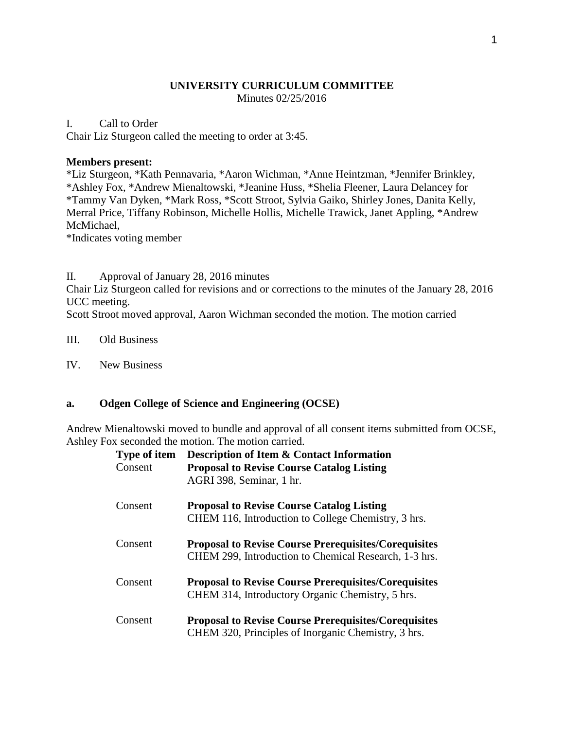#### **UNIVERSITY CURRICULUM COMMITTEE** Minutes 02/25/2016

#### I. Call to Order

Chair Liz Sturgeon called the meeting to order at 3:45.

#### **Members present:**

\*Liz Sturgeon, \*Kath Pennavaria, \*Aaron Wichman, \*Anne Heintzman, \*Jennifer Brinkley, \*Ashley Fox, \*Andrew Mienaltowski, \*Jeanine Huss, \*Shelia Fleener, Laura Delancey for \*Tammy Van Dyken, \*Mark Ross, \*Scott Stroot, Sylvia Gaiko, Shirley Jones, Danita Kelly, Merral Price, Tiffany Robinson, Michelle Hollis, Michelle Trawick, Janet Appling, \*Andrew McMichael,

\*Indicates voting member

II. Approval of January 28, 2016 minutes

Chair Liz Sturgeon called for revisions and or corrections to the minutes of the January 28, 2016 UCC meeting.

Scott Stroot moved approval, Aaron Wichman seconded the motion. The motion carried

III. Old Business

IV. New Business

## **a. Odgen College of Science and Engineering (OCSE)**

Andrew Mienaltowski moved to bundle and approval of all consent items submitted from OCSE, Ashley Fox seconded the motion. The motion carried.

| Type of item<br>Consent | <b>Description of Item &amp; Contact Information</b><br><b>Proposal to Revise Course Catalog Listing</b><br>AGRI 398, Seminar, 1 hr. |
|-------------------------|--------------------------------------------------------------------------------------------------------------------------------------|
| Consent                 | <b>Proposal to Revise Course Catalog Listing</b><br>CHEM 116, Introduction to College Chemistry, 3 hrs.                              |
| Consent                 | <b>Proposal to Revise Course Prerequisites/Corequisites</b><br>CHEM 299, Introduction to Chemical Research, 1-3 hrs.                 |
| Consent                 | <b>Proposal to Revise Course Prerequisites/Corequisites</b><br>CHEM 314, Introductory Organic Chemistry, 5 hrs.                      |
| Consent                 | <b>Proposal to Revise Course Prerequisites/Corequisites</b><br>CHEM 320, Principles of Inorganic Chemistry, 3 hrs.                   |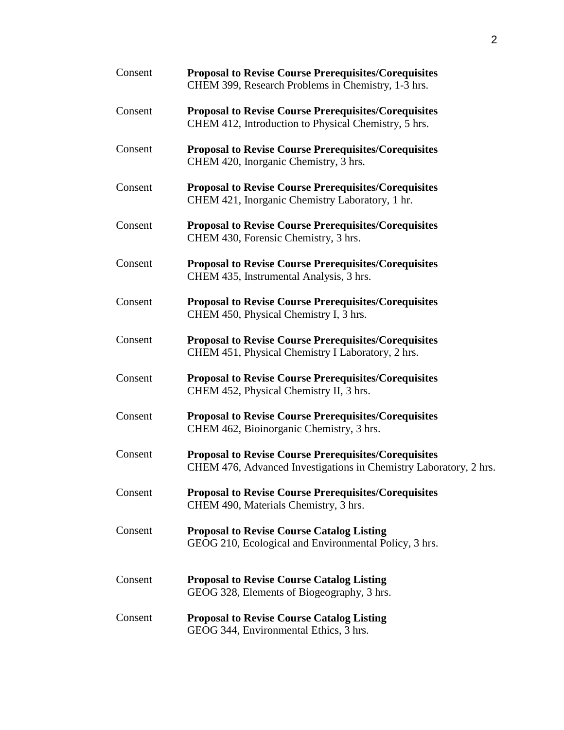| Consent | <b>Proposal to Revise Course Prerequisites/Corequisites</b><br>CHEM 399, Research Problems in Chemistry, 1-3 hrs.                |
|---------|----------------------------------------------------------------------------------------------------------------------------------|
| Consent | <b>Proposal to Revise Course Prerequisites/Corequisites</b><br>CHEM 412, Introduction to Physical Chemistry, 5 hrs.              |
| Consent | <b>Proposal to Revise Course Prerequisites/Corequisites</b><br>CHEM 420, Inorganic Chemistry, 3 hrs.                             |
| Consent | <b>Proposal to Revise Course Prerequisites/Corequisites</b><br>CHEM 421, Inorganic Chemistry Laboratory, 1 hr.                   |
| Consent | <b>Proposal to Revise Course Prerequisites/Corequisites</b><br>CHEM 430, Forensic Chemistry, 3 hrs.                              |
| Consent | <b>Proposal to Revise Course Prerequisites/Corequisites</b><br>CHEM 435, Instrumental Analysis, 3 hrs.                           |
| Consent | <b>Proposal to Revise Course Prerequisites/Corequisites</b><br>CHEM 450, Physical Chemistry I, 3 hrs.                            |
| Consent | <b>Proposal to Revise Course Prerequisites/Corequisites</b><br>CHEM 451, Physical Chemistry I Laboratory, 2 hrs.                 |
| Consent | <b>Proposal to Revise Course Prerequisites/Corequisites</b><br>CHEM 452, Physical Chemistry II, 3 hrs.                           |
| Consent | <b>Proposal to Revise Course Prerequisites/Corequisites</b><br>CHEM 462, Bioinorganic Chemistry, 3 hrs.                          |
| Consent | <b>Proposal to Revise Course Prerequisites/Corequisites</b><br>CHEM 476, Advanced Investigations in Chemistry Laboratory, 2 hrs. |
| Consent | <b>Proposal to Revise Course Prerequisites/Corequisites</b><br>CHEM 490, Materials Chemistry, 3 hrs.                             |
| Consent | <b>Proposal to Revise Course Catalog Listing</b><br>GEOG 210, Ecological and Environmental Policy, 3 hrs.                        |
| Consent | <b>Proposal to Revise Course Catalog Listing</b><br>GEOG 328, Elements of Biogeography, 3 hrs.                                   |
| Consent | <b>Proposal to Revise Course Catalog Listing</b><br>GEOG 344, Environmental Ethics, 3 hrs.                                       |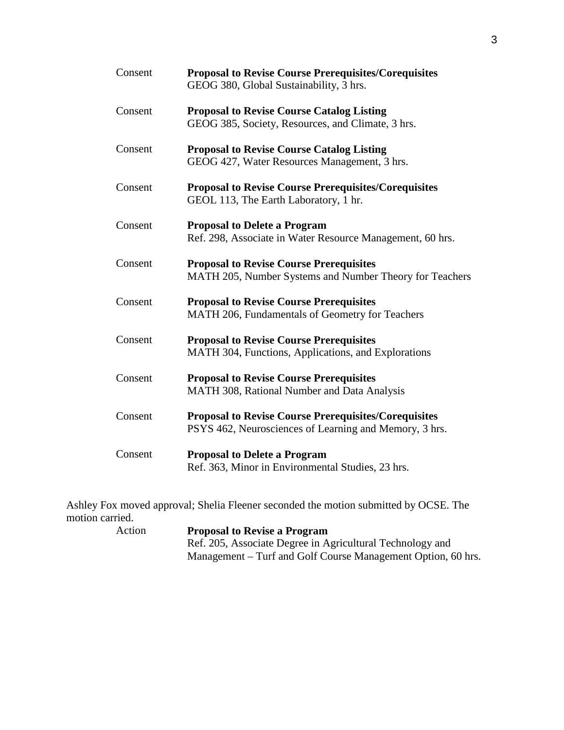| Consent | <b>Proposal to Revise Course Prerequisites/Corequisites</b><br>GEOG 380, Global Sustainability, 3 hrs.                |
|---------|-----------------------------------------------------------------------------------------------------------------------|
| Consent | <b>Proposal to Revise Course Catalog Listing</b><br>GEOG 385, Society, Resources, and Climate, 3 hrs.                 |
| Consent | <b>Proposal to Revise Course Catalog Listing</b><br>GEOG 427, Water Resources Management, 3 hrs.                      |
| Consent | <b>Proposal to Revise Course Prerequisites/Corequisites</b><br>GEOL 113, The Earth Laboratory, 1 hr.                  |
| Consent | <b>Proposal to Delete a Program</b><br>Ref. 298, Associate in Water Resource Management, 60 hrs.                      |
| Consent | <b>Proposal to Revise Course Prerequisites</b><br>MATH 205, Number Systems and Number Theory for Teachers             |
| Consent | <b>Proposal to Revise Course Prerequisites</b><br>MATH 206, Fundamentals of Geometry for Teachers                     |
| Consent | <b>Proposal to Revise Course Prerequisites</b><br>MATH 304, Functions, Applications, and Explorations                 |
| Consent | <b>Proposal to Revise Course Prerequisites</b><br>MATH 308, Rational Number and Data Analysis                         |
| Consent | <b>Proposal to Revise Course Prerequisites/Corequisites</b><br>PSYS 462, Neurosciences of Learning and Memory, 3 hrs. |
| Consent | <b>Proposal to Delete a Program</b><br>Ref. 363, Minor in Environmental Studies, 23 hrs.                              |

Ashley Fox moved approval; Shelia Fleener seconded the motion submitted by OCSE. The motion carried.<br>Action

**Proposal to Revise a Program** Ref. 205, Associate Degree in Agricultural Technology and Management – Turf and Golf Course Management Option, 60 hrs.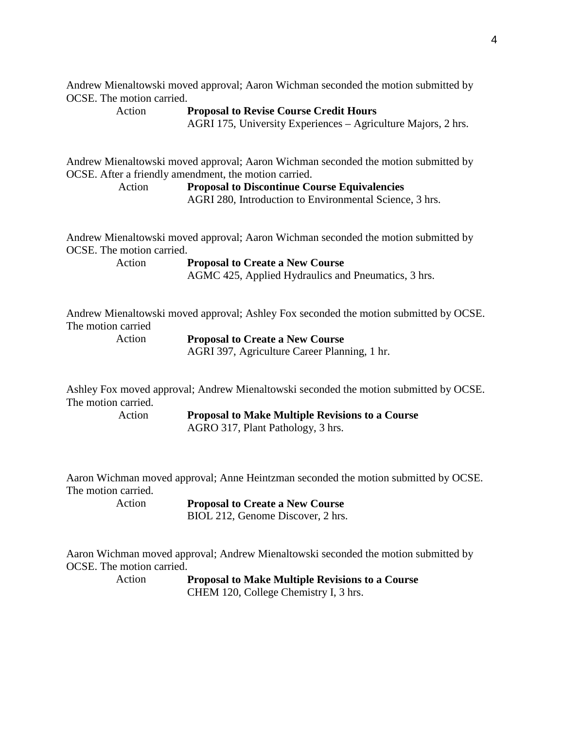Andrew Mienaltowski moved approval; Aaron Wichman seconded the motion submitted by OCSE. The motion carried.

Action **Proposal to Revise Course Credit Hours** AGRI 175, University Experiences – Agriculture Majors, 2 hrs.

Andrew Mienaltowski moved approval; Aaron Wichman seconded the motion submitted by OCSE. After a friendly amendment, the motion carried.

> Action **Proposal to Discontinue Course Equivalencies** AGRI 280, Introduction to Environmental Science, 3 hrs.

Andrew Mienaltowski moved approval; Aaron Wichman seconded the motion submitted by OCSE. The motion carried.

Action **Proposal to Create a New Course** AGMC 425, Applied Hydraulics and Pneumatics, 3 hrs.

Andrew Mienaltowski moved approval; Ashley Fox seconded the motion submitted by OCSE. The motion carried

Action **Proposal to Create a New Course** AGRI 397, Agriculture Career Planning, 1 hr.

Ashley Fox moved approval; Andrew Mienaltowski seconded the motion submitted by OCSE. The motion carried.

Action **Proposal to Make Multiple Revisions to a Course** AGRO 317, Plant Pathology, 3 hrs.

Aaron Wichman moved approval; Anne Heintzman seconded the motion submitted by OCSE. The motion carried.<br>Action

**Proposal to Create a New Course** BIOL 212, Genome Discover, 2 hrs.

Aaron Wichman moved approval; Andrew Mienaltowski seconded the motion submitted by OCSE. The motion carried.

Action **Proposal to Make Multiple Revisions to a Course** CHEM 120, College Chemistry I, 3 hrs.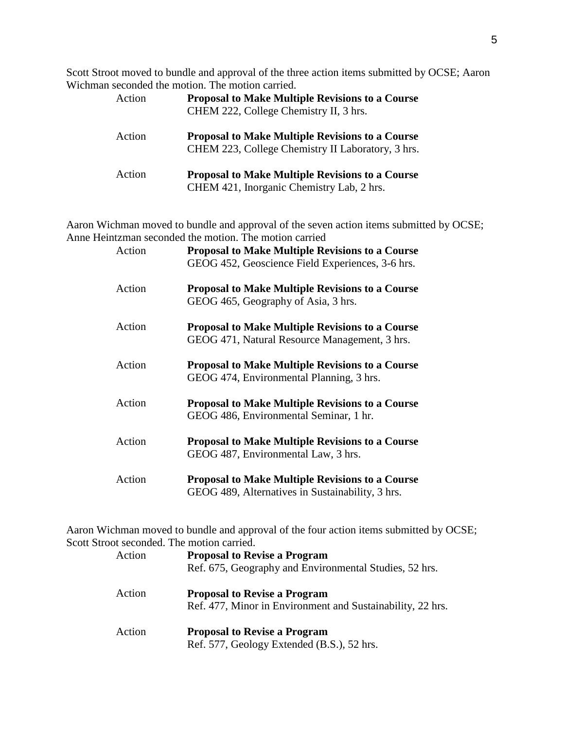Scott Stroot moved to bundle and approval of the three action items submitted by OCSE; Aaron Wichman seconded the motion. The motion carried.

| Action | <b>Proposal to Make Multiple Revisions to a Course</b><br>CHEM 222, College Chemistry II, 3 hrs.            |
|--------|-------------------------------------------------------------------------------------------------------------|
| Action | <b>Proposal to Make Multiple Revisions to a Course</b><br>CHEM 223, College Chemistry II Laboratory, 3 hrs. |
| Action | <b>Proposal to Make Multiple Revisions to a Course</b><br>CHEM 421, Inorganic Chemistry Lab, 2 hrs.         |

Aaron Wichman moved to bundle and approval of the seven action items submitted by OCSE; Anne Heintzman seconded the motion. The motion carried

| Action | <b>Proposal to Make Multiple Revisions to a Course</b><br>GEOG 452, Geoscience Field Experiences, 3-6 hrs. |
|--------|------------------------------------------------------------------------------------------------------------|
| Action | <b>Proposal to Make Multiple Revisions to a Course</b><br>GEOG 465, Geography of Asia, 3 hrs.              |
| Action | <b>Proposal to Make Multiple Revisions to a Course</b><br>GEOG 471, Natural Resource Management, 3 hrs.    |
| Action | <b>Proposal to Make Multiple Revisions to a Course</b><br>GEOG 474, Environmental Planning, 3 hrs.         |
| Action | <b>Proposal to Make Multiple Revisions to a Course</b><br>GEOG 486, Environmental Seminar, 1 hr.           |
| Action | <b>Proposal to Make Multiple Revisions to a Course</b><br>GEOG 487, Environmental Law, 3 hrs.              |
| Action | <b>Proposal to Make Multiple Revisions to a Course</b><br>GEOG 489, Alternatives in Sustainability, 3 hrs. |

Aaron Wichman moved to bundle and approval of the four action items submitted by OCSE; Scott Stroot seconded. The motion carried.

| Action | <b>Proposal to Revise a Program</b><br>Ref. 675, Geography and Environmental Studies, 52 hrs.     |
|--------|---------------------------------------------------------------------------------------------------|
| Action | <b>Proposal to Revise a Program</b><br>Ref. 477, Minor in Environment and Sustainability, 22 hrs. |
| Action | <b>Proposal to Revise a Program</b><br>Ref. 577, Geology Extended (B.S.), 52 hrs.                 |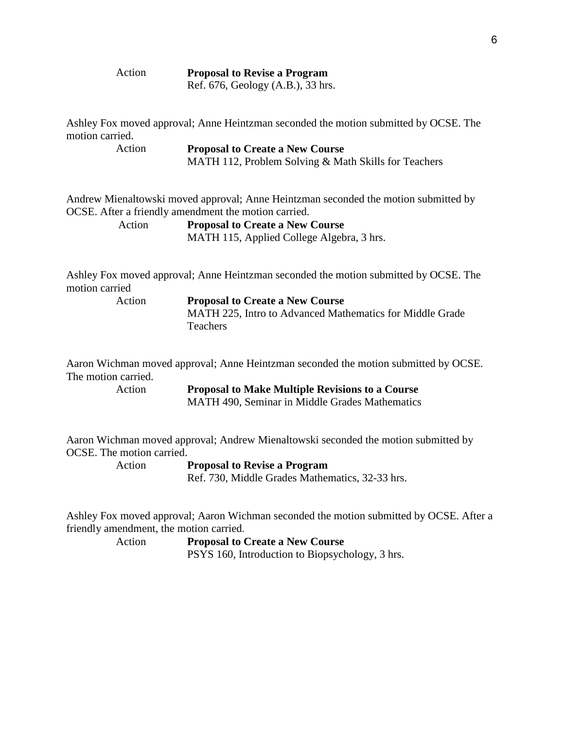| 2t1O<br>C |  |
|-----------|--|
|           |  |

n **Proposal to Revise a Program** Ref. 676, Geology (A.B.), 33 hrs.

Ashley Fox moved approval; Anne Heintzman seconded the motion submitted by OCSE. The motion carried.

Action **Proposal to Create a New Course** MATH 112, Problem Solving & Math Skills for Teachers

Andrew Mienaltowski moved approval; Anne Heintzman seconded the motion submitted by OCSE. After a friendly amendment the motion carried.

> Action **Proposal to Create a New Course** MATH 115, Applied College Algebra, 3 hrs.

Ashley Fox moved approval; Anne Heintzman seconded the motion submitted by OCSE. The motion carried

Action **Proposal to Create a New Course** MATH 225, Intro to Advanced Mathematics for Middle Grade Teachers

Aaron Wichman moved approval; Anne Heintzman seconded the motion submitted by OCSE. The motion carried.

Action **Proposal to Make Multiple Revisions to a Course**

MATH 490, Seminar in Middle Grades Mathematics

Aaron Wichman moved approval; Andrew Mienaltowski seconded the motion submitted by OCSE. The motion carried.

Action **Proposal to Revise a Program**

Ref. 730, Middle Grades Mathematics, 32-33 hrs.

Ashley Fox moved approval; Aaron Wichman seconded the motion submitted by OCSE. After a friendly amendment, the motion carried.

> Action **Proposal to Create a New Course** PSYS 160, Introduction to Biopsychology, 3 hrs.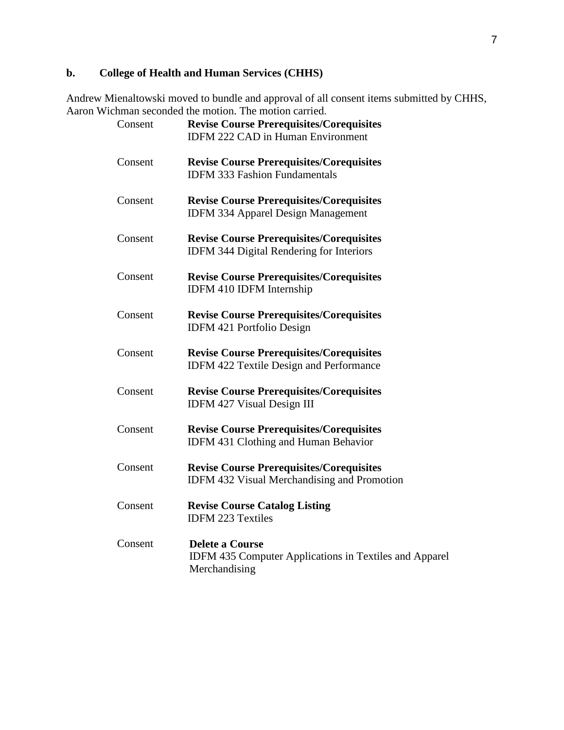# **b. College of Health and Human Services (CHHS)**

Andrew Mienaltowski moved to bundle and approval of all consent items submitted by CHHS, Aaron Wichman seconded the motion. The motion carried.

| Consent | <b>Revise Course Prerequisites/Corequisites</b><br><b>IDFM 222 CAD in Human Environment</b>              |
|---------|----------------------------------------------------------------------------------------------------------|
| Consent | <b>Revise Course Prerequisites/Corequisites</b><br><b>IDFM 333 Fashion Fundamentals</b>                  |
| Consent | <b>Revise Course Prerequisites/Corequisites</b><br><b>IDFM 334 Apparel Design Management</b>             |
| Consent | <b>Revise Course Prerequisites/Corequisites</b><br>IDFM 344 Digital Rendering for Interiors              |
| Consent | <b>Revise Course Prerequisites/Corequisites</b><br>IDFM 410 IDFM Internship                              |
| Consent | <b>Revise Course Prerequisites/Corequisites</b><br>IDFM 421 Portfolio Design                             |
| Consent | <b>Revise Course Prerequisites/Corequisites</b><br><b>IDFM 422 Textile Design and Performance</b>        |
| Consent | <b>Revise Course Prerequisites/Corequisites</b><br>IDFM 427 Visual Design III                            |
| Consent | <b>Revise Course Prerequisites/Corequisites</b><br><b>IDFM 431 Clothing and Human Behavior</b>           |
| Consent | <b>Revise Course Prerequisites/Corequisites</b><br><b>IDFM 432 Visual Merchandising and Promotion</b>    |
| Consent | <b>Revise Course Catalog Listing</b><br><b>IDFM 223 Textiles</b>                                         |
| Consent | <b>Delete a Course</b><br><b>IDFM 435 Computer Applications in Textiles and Apparel</b><br>Merchandising |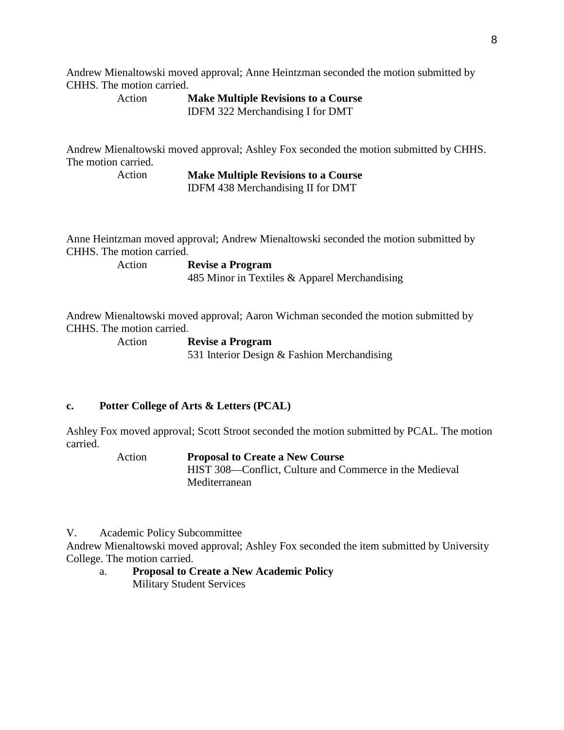Andrew Mienaltowski moved approval; Anne Heintzman seconded the motion submitted by CHHS. The motion carried.

Action **Make Multiple Revisions to a Course** IDFM 322 Merchandising I for DMT

Andrew Mienaltowski moved approval; Ashley Fox seconded the motion submitted by CHHS. The motion carried.

> Action **Make Multiple Revisions to a Course** IDFM 438 Merchandising II for DMT

Anne Heintzman moved approval; Andrew Mienaltowski seconded the motion submitted by CHHS. The motion carried.

Action **Revise a Program**

485 Minor in Textiles & Apparel Merchandising

Andrew Mienaltowski moved approval; Aaron Wichman seconded the motion submitted by CHHS. The motion carried.

Action **Revise a Program** 531 Interior Design & Fashion Merchandising

## **c. Potter College of Arts & Letters (PCAL)**

Ashley Fox moved approval; Scott Stroot seconded the motion submitted by PCAL. The motion carried.

## Action **Proposal to Create a New Course**

HIST 308—Conflict, Culture and Commerce in the Medieval Mediterranean

V. Academic Policy Subcommittee

Andrew Mienaltowski moved approval; Ashley Fox seconded the item submitted by University College. The motion carried.

a. **Proposal to Create a New Academic Policy** Military Student Services